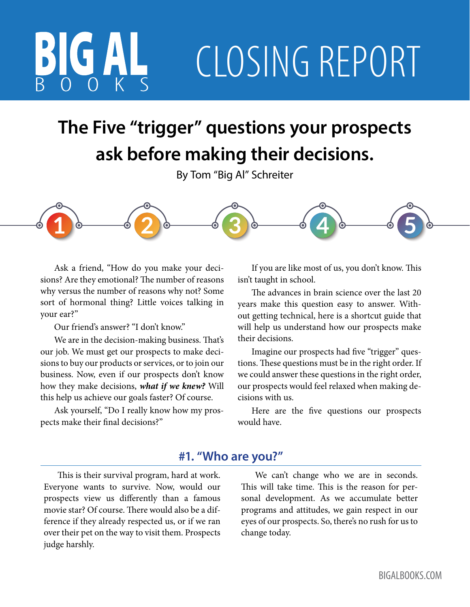# CLOSING REPORT

## **The Five "trigger" questions your prospects ask before making their decisions.**

By Tom "Big Al" Schreiter



Ask a friend, "How do you make your decisions? Are they emotional? The number of reasons why versus the number of reasons why not? Some sort of hormonal thing? Little voices talking in your ear?"

Our friend's answer? "I don't know."

We are in the decision-making business. That's our job. We must get our prospects to make decisions to buy our products or services, or to join our business. Now, even if our prospects don't know how they make decisions, *what if we knew?* Will this help us achieve our goals faster? Of course.

Ask yourself, "Do I really know how my prospects make their final decisions?"

If you are like most of us, you don't know. This isn't taught in school.

The advances in brain science over the last 20 years make this question easy to answer. Without getting technical, here is a shortcut guide that will help us understand how our prospects make their decisions.

Imagine our prospects had five "trigger" questions. These questions must be in the right order. If we could answer these questions in the right order, our prospects would feel relaxed when making decisions with us.

Here are the five questions our prospects would have.

### **#1. "Who are you?"**

This is their survival program, hard at work. Everyone wants to survive. Now, would our prospects view us differently than a famous movie star? Of course. There would also be a difference if they already respected us, or if we ran over their pet on the way to visit them. Prospects judge harshly.

We can't change who we are in seconds. This will take time. This is the reason for personal development. As we accumulate better programs and attitudes, we gain respect in our eyes of our prospects. So, there's no rush for us to change today.